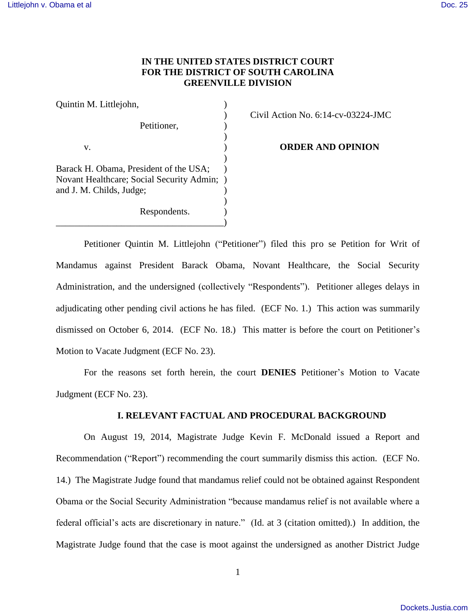## **IN THE UNITED STATES DISTRICT COURT FOR THE DISTRICT OF SOUTH CAROLINA GREENVILLE DIVISION**

| Quintin M. Littlejohn,                    |  |
|-------------------------------------------|--|
|                                           |  |
| Petitioner,                               |  |
| V.                                        |  |
|                                           |  |
| Barack H. Obama, President of the USA;    |  |
| Novant Healthcare; Social Security Admin; |  |
| and J. M. Childs, Judge;                  |  |
|                                           |  |
| Respondents.                              |  |

\_\_\_\_\_\_\_\_\_\_\_\_\_\_\_\_\_\_\_\_\_\_\_\_\_\_\_\_\_\_\_\_\_\_\_\_)

) Civil Action No. 6:14-cv-03224-JMC

**ORDER AND OPINION** 

Petitioner Quintin M. Littlejohn ("Petitioner") filed this pro se Petition for Writ of Mandamus against President Barack Obama, Novant Healthcare, the Social Security Administration, and the undersigned (collectively "Respondents"). Petitioner alleges delays in adjudicating other pending civil actions he has filed. (ECF No. 1.) This action was summarily dismissed on October 6, 2014. (ECF No. 18.) This matter is before the court on Petitioner's Motion to Vacate Judgment (ECF No. 23).

 For the reasons set forth herein, the court **DENIES** Petitioner's Motion to Vacate Judgment (ECF No. 23).

### **I. RELEVANT FACTUAL AND PROCEDURAL BACKGROUND**

On August 19, 2014, Magistrate Judge Kevin F. McDonald issued a Report and Recommendation ("Report") recommending the court summarily dismiss this action. (ECF No. 14.) The Magistrate Judge found that mandamus relief could not be obtained against Respondent Obama or the Social Security Administration "because mandamus relief is not available where a federal official's acts are discretionary in nature." (Id. at 3 (citation omitted).) In addition, the Magistrate Judge found that the case is moot against the undersigned as another District Judge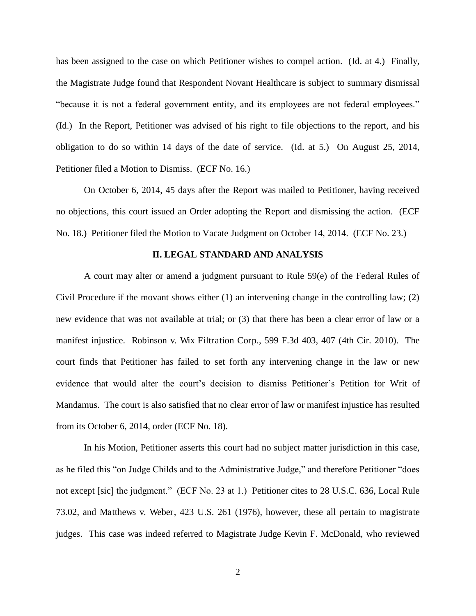has been assigned to the case on which Petitioner wishes to compel action. (Id. at 4.) Finally, the Magistrate Judge found that Respondent Novant Healthcare is subject to summary dismissal "because it is not a federal government entity, and its employees are not federal employees." (Id.) In the Report, Petitioner was advised of his right to file objections to the report, and his obligation to do so within 14 days of the date of service. (Id. at 5.) On August 25, 2014, Petitioner filed a Motion to Dismiss. (ECF No. 16.)

 On October 6, 2014, 45 days after the Report was mailed to Petitioner, having received no objections, this court issued an Order adopting the Report and dismissing the action. (ECF No. 18.) Petitioner filed the Motion to Vacate Judgment on October 14, 2014. (ECF No. 23.)

#### **II. LEGAL STANDARD AND ANALYSIS**

A court may alter or amend a judgment pursuant to Rule 59(e) of the Federal Rules of Civil Procedure if the movant shows either (1) an intervening change in the controlling law; (2) new evidence that was not available at trial; or (3) that there has been a clear error of law or a manifest injustice. Robinson v. Wix Filtration Corp., 599 F.3d 403, 407 (4th Cir. 2010). The court finds that Petitioner has failed to set forth any intervening change in the law or new evidence that would alter the court's decision to dismiss Petitioner's Petition for Writ of Mandamus. The court is also satisfied that no clear error of law or manifest injustice has resulted from its October 6, 2014, order (ECF No. 18).

In his Motion, Petitioner asserts this court had no subject matter jurisdiction in this case, as he filed this "on Judge Childs and to the Administrative Judge," and therefore Petitioner "does not except [sic] the judgment." (ECF No. 23 at 1.) Petitioner cites to 28 U.S.C. 636, Local Rule 73.02, and Matthews v. Weber, 423 U.S. 261 (1976), however, these all pertain to magistrate judges. This case was indeed referred to Magistrate Judge Kevin F. McDonald, who reviewed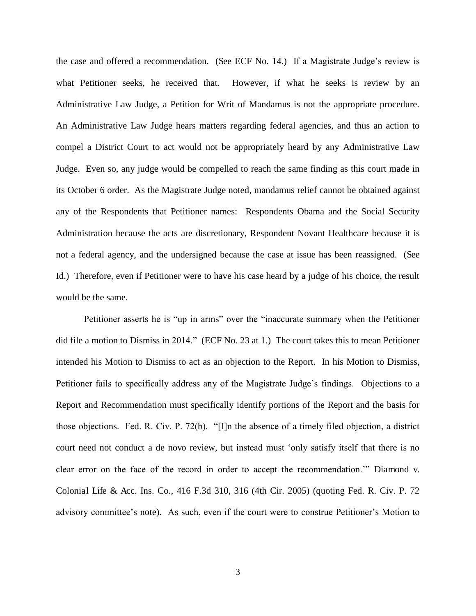the case and offered a recommendation. (See ECF No. 14.) If a Magistrate Judge's review is what Petitioner seeks, he received that. However, if what he seeks is review by an Administrative Law Judge, a Petition for Writ of Mandamus is not the appropriate procedure. An Administrative Law Judge hears matters regarding federal agencies, and thus an action to compel a District Court to act would not be appropriately heard by any Administrative Law Judge. Even so, any judge would be compelled to reach the same finding as this court made in its October 6 order. As the Magistrate Judge noted, mandamus relief cannot be obtained against any of the Respondents that Petitioner names: Respondents Obama and the Social Security Administration because the acts are discretionary, Respondent Novant Healthcare because it is not a federal agency, and the undersigned because the case at issue has been reassigned. (See Id.) Therefore, even if Petitioner were to have his case heard by a judge of his choice, the result would be the same.

Petitioner asserts he is "up in arms" over the "inaccurate summary when the Petitioner did file a motion to Dismiss in 2014." (ECF No. 23 at 1.) The court takes this to mean Petitioner intended his Motion to Dismiss to act as an objection to the Report. In his Motion to Dismiss, Petitioner fails to specifically address any of the Magistrate Judge's findings. Objections to a Report and Recommendation must specifically identify portions of the Report and the basis for those objections. Fed. R. Civ. P. 72(b). "[I]n the absence of a timely filed objection, a district court need not conduct a de novo review, but instead must 'only satisfy itself that there is no clear error on the face of the record in order to accept the recommendation.'" Diamond v. Colonial Life & Acc. Ins. Co., 416 F.3d 310, 316 (4th Cir. 2005) (quoting Fed. R. Civ. P. 72 advisory committee's note). As such, even if the court were to construe Petitioner's Motion to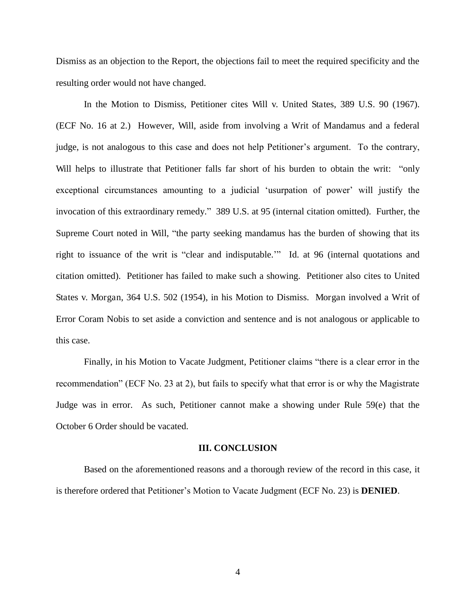Dismiss as an objection to the Report, the objections fail to meet the required specificity and the resulting order would not have changed.

In the Motion to Dismiss, Petitioner cites Will v. United States, 389 U.S. 90 (1967). (ECF No. 16 at 2.) However, Will, aside from involving a Writ of Mandamus and a federal judge, is not analogous to this case and does not help Petitioner's argument. To the contrary, Will helps to illustrate that Petitioner falls far short of his burden to obtain the writ: "only exceptional circumstances amounting to a judicial 'usurpation of power' will justify the invocation of this extraordinary remedy." 389 U.S. at 95 (internal citation omitted). Further, the Supreme Court noted in Will, "the party seeking mandamus has the burden of showing that its right to issuance of the writ is "clear and indisputable.'" Id. at 96 (internal quotations and citation omitted). Petitioner has failed to make such a showing. Petitioner also cites to United States v. Morgan, 364 U.S. 502 (1954), in his Motion to Dismiss. Morgan involved a Writ of Error Coram Nobis to set aside a conviction and sentence and is not analogous or applicable to this case.

Finally, in his Motion to Vacate Judgment, Petitioner claims "there is a clear error in the recommendation" (ECF No. 23 at 2), but fails to specify what that error is or why the Magistrate Judge was in error. As such, Petitioner cannot make a showing under Rule 59(e) that the October 6 Order should be vacated.

#### **III. CONCLUSION**

Based on the aforementioned reasons and a thorough review of the record in this case, it is therefore ordered that Petitioner's Motion to Vacate Judgment (ECF No. 23) is **DENIED**.